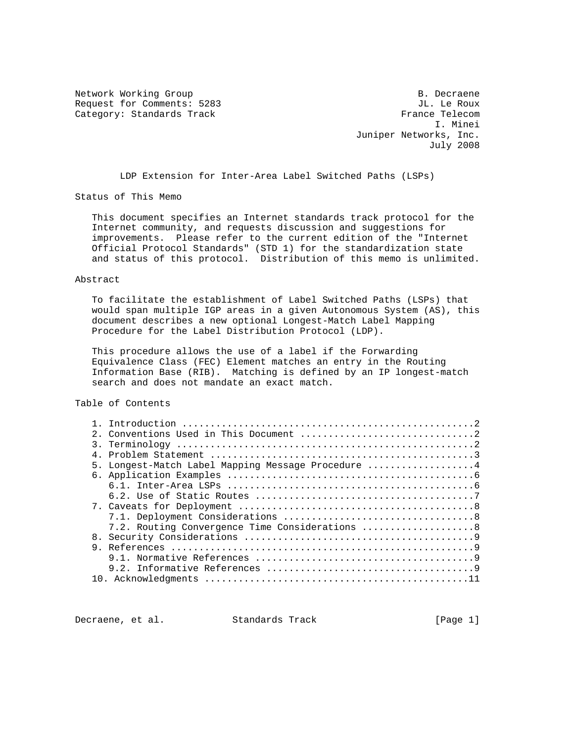Network Working Group and the set of the set of the B. Decraene Request for Comments: 5283 JL. Le Roux<br>
Category: Standards Track Gategory: Standards Track Category: Standards Track

 I. Minei Juniper Networks, Inc. July 2008

LDP Extension for Inter-Area Label Switched Paths (LSPs)

Status of This Memo

 This document specifies an Internet standards track protocol for the Internet community, and requests discussion and suggestions for improvements. Please refer to the current edition of the "Internet Official Protocol Standards" (STD 1) for the standardization state and status of this protocol. Distribution of this memo is unlimited.

#### Abstract

 To facilitate the establishment of Label Switched Paths (LSPs) that would span multiple IGP areas in a given Autonomous System (AS), this document describes a new optional Longest-Match Label Mapping Procedure for the Label Distribution Protocol (LDP).

 This procedure allows the use of a label if the Forwarding Equivalence Class (FEC) Element matches an entry in the Routing Information Base (RIB). Matching is defined by an IP longest-match search and does not mandate an exact match.

## Table of Contents

|    | 5. Longest-Match Label Mapping Message Procedure 4 |  |
|----|----------------------------------------------------|--|
|    |                                                    |  |
|    |                                                    |  |
|    |                                                    |  |
|    |                                                    |  |
|    |                                                    |  |
|    | 7.2. Routing Convergence Time Considerations 8     |  |
| 8. |                                                    |  |
|    |                                                    |  |
|    |                                                    |  |
|    |                                                    |  |
|    |                                                    |  |

Decraene, et al. Standards Track [Page 1]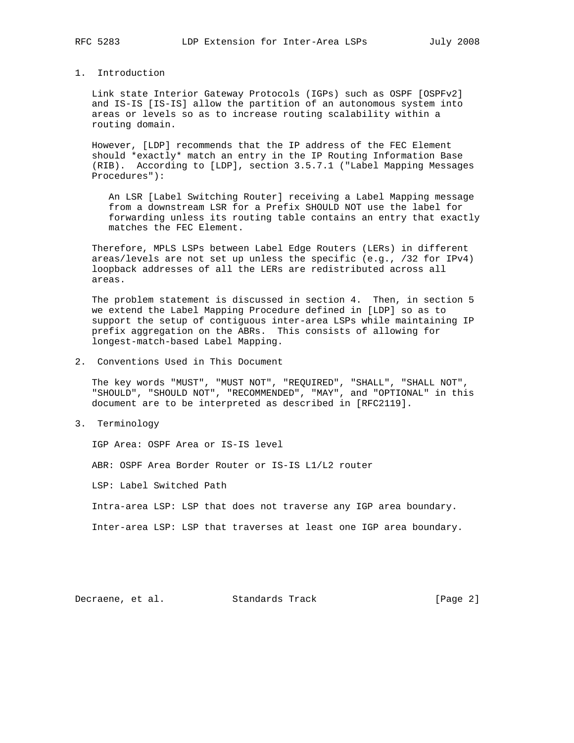## 1. Introduction

 Link state Interior Gateway Protocols (IGPs) such as OSPF [OSPFv2] and IS-IS [IS-IS] allow the partition of an autonomous system into areas or levels so as to increase routing scalability within a routing domain.

 However, [LDP] recommends that the IP address of the FEC Element should \*exactly\* match an entry in the IP Routing Information Base (RIB). According to [LDP], section 3.5.7.1 ("Label Mapping Messages Procedures"):

 An LSR [Label Switching Router] receiving a Label Mapping message from a downstream LSR for a Prefix SHOULD NOT use the label for forwarding unless its routing table contains an entry that exactly matches the FEC Element.

 Therefore, MPLS LSPs between Label Edge Routers (LERs) in different areas/levels are not set up unless the specific (e.g., /32 for IPv4) loopback addresses of all the LERs are redistributed across all areas.

 The problem statement is discussed in section 4. Then, in section 5 we extend the Label Mapping Procedure defined in [LDP] so as to support the setup of contiguous inter-area LSPs while maintaining IP prefix aggregation on the ABRs. This consists of allowing for longest-match-based Label Mapping.

2. Conventions Used in This Document

 The key words "MUST", "MUST NOT", "REQUIRED", "SHALL", "SHALL NOT", "SHOULD", "SHOULD NOT", "RECOMMENDED", "MAY", and "OPTIONAL" in this document are to be interpreted as described in [RFC2119].

3. Terminology

IGP Area: OSPF Area or IS-IS level

ABR: OSPF Area Border Router or IS-IS L1/L2 router

LSP: Label Switched Path

Intra-area LSP: LSP that does not traverse any IGP area boundary.

Inter-area LSP: LSP that traverses at least one IGP area boundary.

Decraene, et al. Standards Track [Page 2]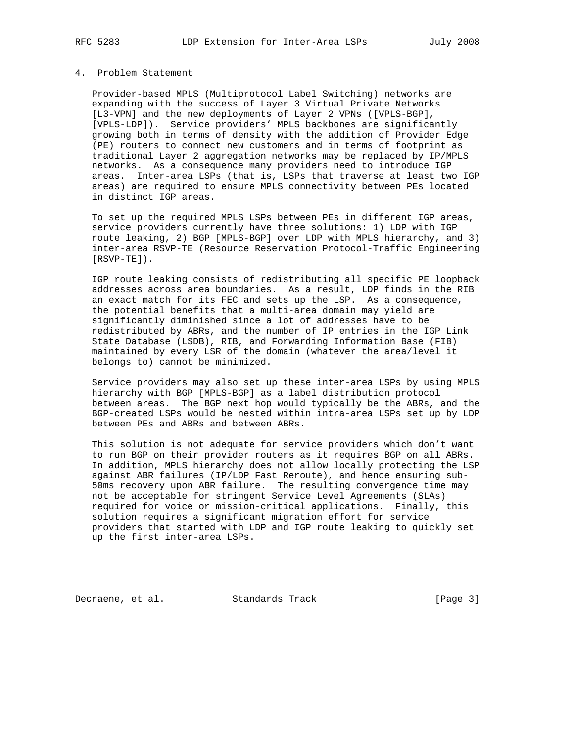## 4. Problem Statement

 Provider-based MPLS (Multiprotocol Label Switching) networks are expanding with the success of Layer 3 Virtual Private Networks [L3-VPN] and the new deployments of Layer 2 VPNs ([VPLS-BGP], [VPLS-LDP]). Service providers' MPLS backbones are significantly growing both in terms of density with the addition of Provider Edge (PE) routers to connect new customers and in terms of footprint as traditional Layer 2 aggregation networks may be replaced by IP/MPLS networks. As a consequence many providers need to introduce IGP areas. Inter-area LSPs (that is, LSPs that traverse at least two IGP areas) are required to ensure MPLS connectivity between PEs located in distinct IGP areas.

 To set up the required MPLS LSPs between PEs in different IGP areas, service providers currently have three solutions: 1) LDP with IGP route leaking, 2) BGP [MPLS-BGP] over LDP with MPLS hierarchy, and 3) inter-area RSVP-TE (Resource Reservation Protocol-Traffic Engineering [RSVP-TE]).

 IGP route leaking consists of redistributing all specific PE loopback addresses across area boundaries. As a result, LDP finds in the RIB an exact match for its FEC and sets up the LSP. As a consequence, the potential benefits that a multi-area domain may yield are significantly diminished since a lot of addresses have to be redistributed by ABRs, and the number of IP entries in the IGP Link State Database (LSDB), RIB, and Forwarding Information Base (FIB) maintained by every LSR of the domain (whatever the area/level it belongs to) cannot be minimized.

 Service providers may also set up these inter-area LSPs by using MPLS hierarchy with BGP [MPLS-BGP] as a label distribution protocol between areas. The BGP next hop would typically be the ABRs, and the BGP-created LSPs would be nested within intra-area LSPs set up by LDP between PEs and ABRs and between ABRs.

 This solution is not adequate for service providers which don't want to run BGP on their provider routers as it requires BGP on all ABRs. In addition, MPLS hierarchy does not allow locally protecting the LSP against ABR failures (IP/LDP Fast Reroute), and hence ensuring sub- 50ms recovery upon ABR failure. The resulting convergence time may not be acceptable for stringent Service Level Agreements (SLAs) required for voice or mission-critical applications. Finally, this solution requires a significant migration effort for service providers that started with LDP and IGP route leaking to quickly set up the first inter-area LSPs.

Decraene, et al. Standards Track [Page 3]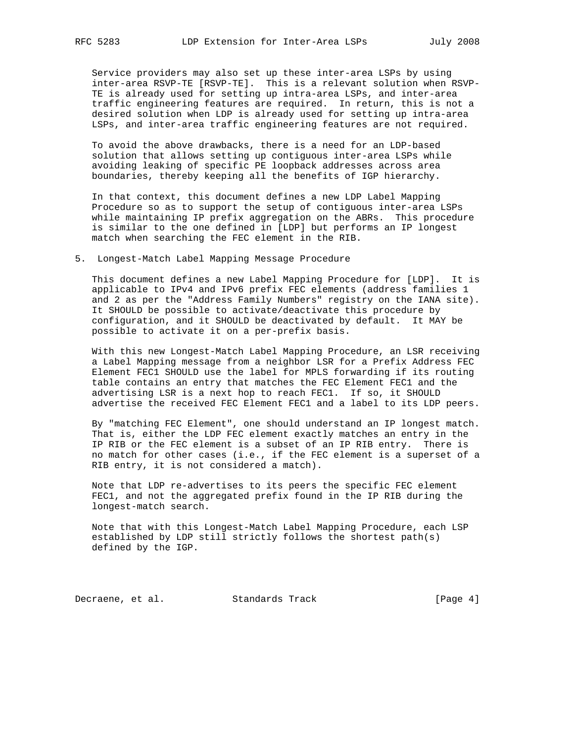Service providers may also set up these inter-area LSPs by using inter-area RSVP-TE [RSVP-TE]. This is a relevant solution when RSVP- TE is already used for setting up intra-area LSPs, and inter-area traffic engineering features are required. In return, this is not a desired solution when LDP is already used for setting up intra-area LSPs, and inter-area traffic engineering features are not required.

 To avoid the above drawbacks, there is a need for an LDP-based solution that allows setting up contiguous inter-area LSPs while avoiding leaking of specific PE loopback addresses across area boundaries, thereby keeping all the benefits of IGP hierarchy.

 In that context, this document defines a new LDP Label Mapping Procedure so as to support the setup of contiguous inter-area LSPs while maintaining IP prefix aggregation on the ABRs. This procedure is similar to the one defined in [LDP] but performs an IP longest match when searching the FEC element in the RIB.

5. Longest-Match Label Mapping Message Procedure

 This document defines a new Label Mapping Procedure for [LDP]. It is applicable to IPv4 and IPv6 prefix FEC elements (address families 1 and 2 as per the "Address Family Numbers" registry on the IANA site). It SHOULD be possible to activate/deactivate this procedure by configuration, and it SHOULD be deactivated by default. It MAY be possible to activate it on a per-prefix basis.

 With this new Longest-Match Label Mapping Procedure, an LSR receiving a Label Mapping message from a neighbor LSR for a Prefix Address FEC Element FEC1 SHOULD use the label for MPLS forwarding if its routing table contains an entry that matches the FEC Element FEC1 and the advertising LSR is a next hop to reach FEC1. If so, it SHOULD advertise the received FEC Element FEC1 and a label to its LDP peers.

 By "matching FEC Element", one should understand an IP longest match. That is, either the LDP FEC element exactly matches an entry in the IP RIB or the FEC element is a subset of an IP RIB entry. There is no match for other cases (i.e., if the FEC element is a superset of a RIB entry, it is not considered a match).

 Note that LDP re-advertises to its peers the specific FEC element FEC1, and not the aggregated prefix found in the IP RIB during the longest-match search.

 Note that with this Longest-Match Label Mapping Procedure, each LSP established by LDP still strictly follows the shortest path(s) defined by the IGP.

Decraene, et al. Standards Track [Page 4]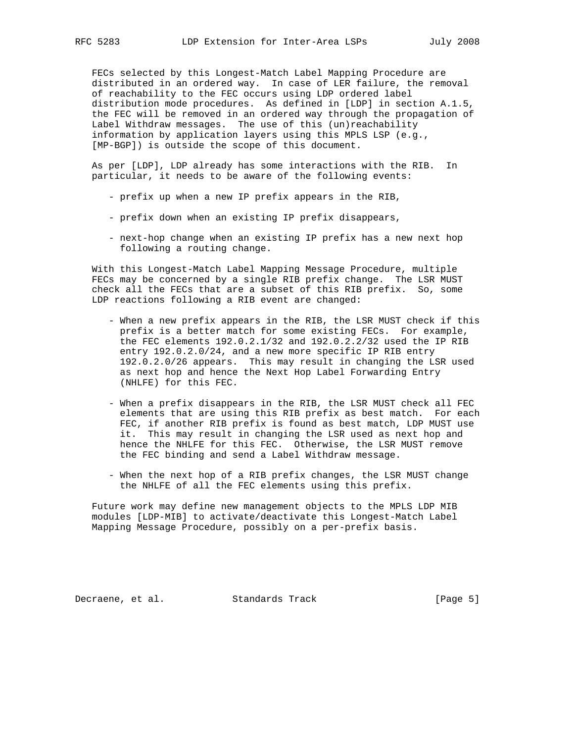FECs selected by this Longest-Match Label Mapping Procedure are distributed in an ordered way. In case of LER failure, the removal of reachability to the FEC occurs using LDP ordered label distribution mode procedures. As defined in [LDP] in section A.1.5, the FEC will be removed in an ordered way through the propagation of Label Withdraw messages. The use of this (un)reachability information by application layers using this MPLS LSP (e.g., [MP-BGP]) is outside the scope of this document.

 As per [LDP], LDP already has some interactions with the RIB. In particular, it needs to be aware of the following events:

- prefix up when a new IP prefix appears in the RIB,
- prefix down when an existing IP prefix disappears,
- next-hop change when an existing IP prefix has a new next hop following a routing change.

 With this Longest-Match Label Mapping Message Procedure, multiple FECs may be concerned by a single RIB prefix change. The LSR MUST check all the FECs that are a subset of this RIB prefix. So, some LDP reactions following a RIB event are changed:

- When a new prefix appears in the RIB, the LSR MUST check if this prefix is a better match for some existing FECs. For example, the FEC elements 192.0.2.1/32 and 192.0.2.2/32 used the IP RIB entry 192.0.2.0/24, and a new more specific IP RIB entry 192.0.2.0/26 appears. This may result in changing the LSR used as next hop and hence the Next Hop Label Forwarding Entry (NHLFE) for this FEC.
- When a prefix disappears in the RIB, the LSR MUST check all FEC elements that are using this RIB prefix as best match. For each FEC, if another RIB prefix is found as best match, LDP MUST use it. This may result in changing the LSR used as next hop and hence the NHLFE for this FEC. Otherwise, the LSR MUST remove the FEC binding and send a Label Withdraw message.
- When the next hop of a RIB prefix changes, the LSR MUST change the NHLFE of all the FEC elements using this prefix.

 Future work may define new management objects to the MPLS LDP MIB modules [LDP-MIB] to activate/deactivate this Longest-Match Label Mapping Message Procedure, possibly on a per-prefix basis.

Decraene, et al. Standards Track [Page 5]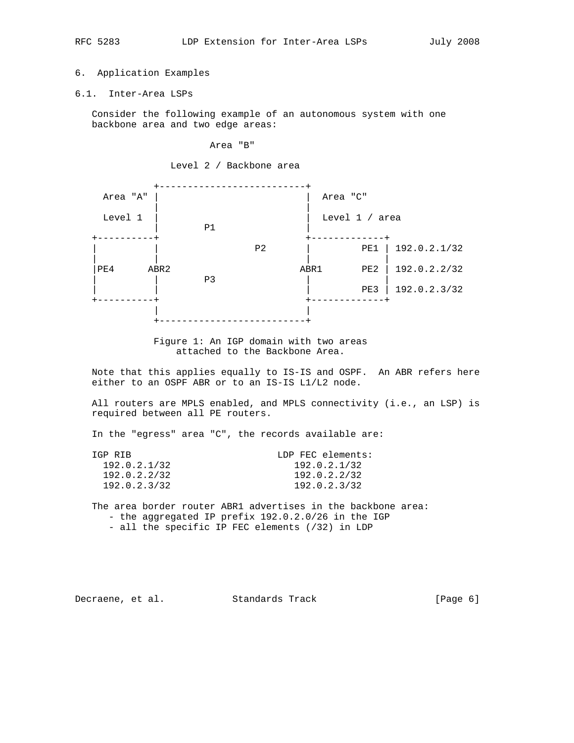# 6. Application Examples

6.1. Inter-Area LSPs

 Consider the following example of an autonomous system with one backbone area and two edge areas:

#### Area "B"

Level 2 / Backbone area



Figure 1: An IGP domain with two areas attached to the Backbone Area.

 Note that this applies equally to IS-IS and OSPF. An ABR refers here either to an OSPF ABR or to an IS-IS L1/L2 node.

 All routers are MPLS enabled, and MPLS connectivity (i.e., an LSP) is required between all PE routers.

In the "egress" area "C", the records available are:

| TGP RTB      | LDP FEC elements: |
|--------------|-------------------|
| 192.0.2.1/32 | 192.0.2.1/32      |
| 192.0.2.2/32 | 192.0.2.2/32      |
| 192.0.2.3/32 | 192.0.2.3/32      |

 The area border router ABR1 advertises in the backbone area: - the aggregated IP prefix 192.0.2.0/26 in the IGP - all the specific IP FEC elements (/32) in LDP

Decraene, et al. Standards Track [Page 6]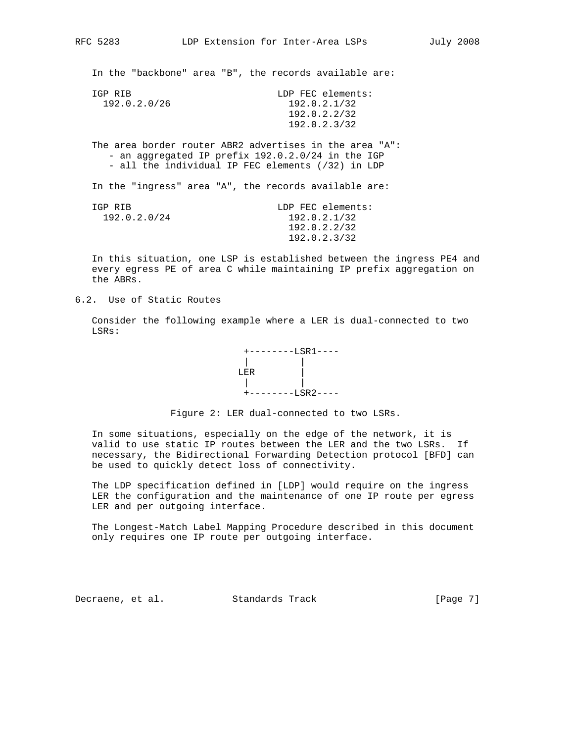In the "backbone" area "B", the records available are:

| TGP RTB      | LDP FEC elements: |
|--------------|-------------------|
| 192.0.2.0/26 | 192.0.2.1/32      |
|              | 192.0.2.2/32      |
|              | 192.0.2.3/32      |
|              |                   |

 The area border router ABR2 advertises in the area "A": - an aggregated IP prefix 192.0.2.0/24 in the IGP - all the individual IP FEC elements (/32) in LDP

In the "ingress" area "A", the records available are:

| TGP RTB      | LDP FEC elements: |
|--------------|-------------------|
| 192.0.2.0/24 | 192.0.2.1/32      |
|              | 192.0.2.2/32      |
|              | 192.0.2.3/32      |
|              |                   |

 In this situation, one LSP is established between the ingress PE4 and every egress PE of area C while maintaining IP prefix aggregation on the ABRs.

6.2. Use of Static Routes

 Consider the following example where a LER is dual-connected to two LSRs:



Figure 2: LER dual-connected to two LSRs.

 In some situations, especially on the edge of the network, it is valid to use static IP routes between the LER and the two LSRs. If necessary, the Bidirectional Forwarding Detection protocol [BFD] can be used to quickly detect loss of connectivity.

 The LDP specification defined in [LDP] would require on the ingress LER the configuration and the maintenance of one IP route per egress LER and per outgoing interface.

 The Longest-Match Label Mapping Procedure described in this document only requires one IP route per outgoing interface.

Decraene, et al. Standards Track (Page 7)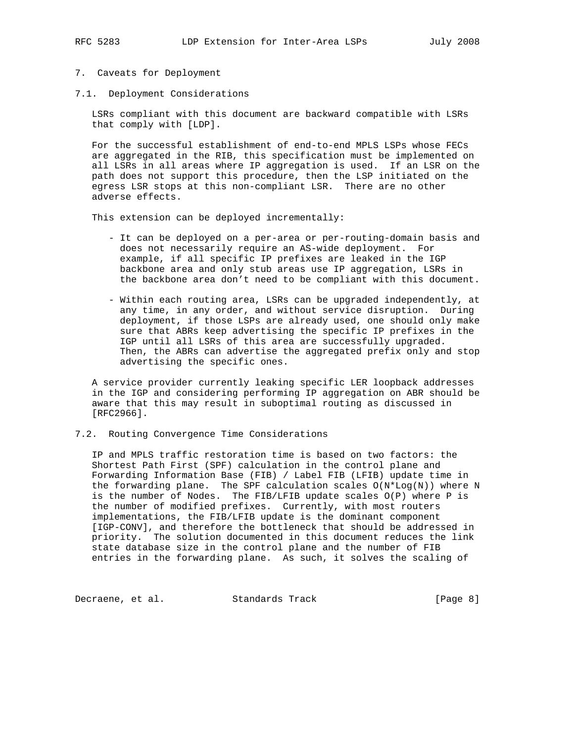- 
- 7. Caveats for Deployment
- 7.1. Deployment Considerations

 LSRs compliant with this document are backward compatible with LSRs that comply with [LDP].

 For the successful establishment of end-to-end MPLS LSPs whose FECs are aggregated in the RIB, this specification must be implemented on all LSRs in all areas where IP aggregation is used. If an LSR on the path does not support this procedure, then the LSP initiated on the egress LSR stops at this non-compliant LSR. There are no other adverse effects.

This extension can be deployed incrementally:

- It can be deployed on a per-area or per-routing-domain basis and does not necessarily require an AS-wide deployment. For example, if all specific IP prefixes are leaked in the IGP backbone area and only stub areas use IP aggregation, LSRs in the backbone area don't need to be compliant with this document.
- Within each routing area, LSRs can be upgraded independently, at any time, in any order, and without service disruption. During deployment, if those LSPs are already used, one should only make sure that ABRs keep advertising the specific IP prefixes in the IGP until all LSRs of this area are successfully upgraded. Then, the ABRs can advertise the aggregated prefix only and stop advertising the specific ones.

 A service provider currently leaking specific LER loopback addresses in the IGP and considering performing IP aggregation on ABR should be aware that this may result in suboptimal routing as discussed in [RFC2966].

## 7.2. Routing Convergence Time Considerations

 IP and MPLS traffic restoration time is based on two factors: the Shortest Path First (SPF) calculation in the control plane and Forwarding Information Base (FIB) / Label FIB (LFIB) update time in the forwarding plane. The SPF calculation scales O(N\*Log(N)) where N is the number of Nodes. The FIB/LFIB update scales O(P) where P is the number of modified prefixes. Currently, with most routers implementations, the FIB/LFIB update is the dominant component [IGP-CONV], and therefore the bottleneck that should be addressed in priority. The solution documented in this document reduces the link state database size in the control plane and the number of FIB entries in the forwarding plane. As such, it solves the scaling of

Decraene, et al. Standards Track [Page 8]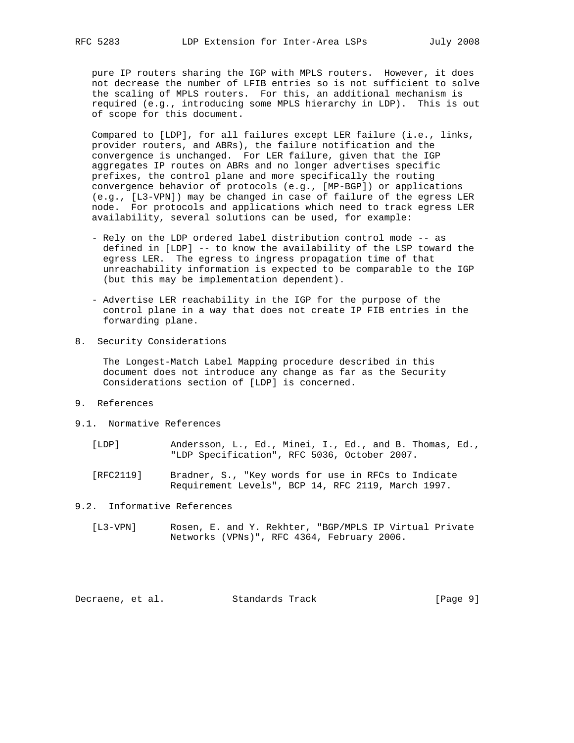pure IP routers sharing the IGP with MPLS routers. However, it does not decrease the number of LFIB entries so is not sufficient to solve the scaling of MPLS routers. For this, an additional mechanism is required (e.g., introducing some MPLS hierarchy in LDP). This is out of scope for this document.

 Compared to [LDP], for all failures except LER failure (i.e., links, provider routers, and ABRs), the failure notification and the convergence is unchanged. For LER failure, given that the IGP aggregates IP routes on ABRs and no longer advertises specific prefixes, the control plane and more specifically the routing convergence behavior of protocols (e.g., [MP-BGP]) or applications (e.g., [L3-VPN]) may be changed in case of failure of the egress LER node. For protocols and applications which need to track egress LER availability, several solutions can be used, for example:

- Rely on the LDP ordered label distribution control mode -- as defined in [LDP] -- to know the availability of the LSP toward the egress LER. The egress to ingress propagation time of that unreachability information is expected to be comparable to the IGP (but this may be implementation dependent).
- Advertise LER reachability in the IGP for the purpose of the control plane in a way that does not create IP FIB entries in the forwarding plane.
- 8. Security Considerations

 The Longest-Match Label Mapping procedure described in this document does not introduce any change as far as the Security Considerations section of [LDP] is concerned.

- 9. References
- 9.1. Normative References
	- [LDP] Andersson, L., Ed., Minei, I., Ed., and B. Thomas, Ed., "LDP Specification", RFC 5036, October 2007.
	- [RFC2119] Bradner, S., "Key words for use in RFCs to Indicate Requirement Levels", BCP 14, RFC 2119, March 1997.

9.2. Informative References

 [L3-VPN] Rosen, E. and Y. Rekhter, "BGP/MPLS IP Virtual Private Networks (VPNs)", RFC 4364, February 2006.

Decraene, et al. Standards Track [Page 9]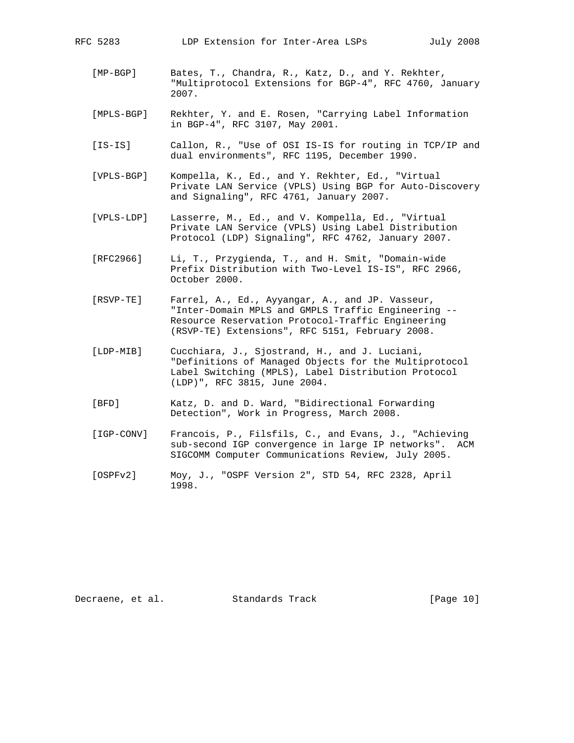- [MP-BGP] Bates, T., Chandra, R., Katz, D., and Y. Rekhter, "Multiprotocol Extensions for BGP-4", RFC 4760, January 2007.
- [MPLS-BGP] Rekhter, Y. and E. Rosen, "Carrying Label Information in BGP-4", RFC 3107, May 2001.
- [IS-IS] Callon, R., "Use of OSI IS-IS for routing in TCP/IP and dual environments", RFC 1195, December 1990.
- [VPLS-BGP] Kompella, K., Ed., and Y. Rekhter, Ed., "Virtual Private LAN Service (VPLS) Using BGP for Auto-Discovery and Signaling", RFC 4761, January 2007.
- [VPLS-LDP] Lasserre, M., Ed., and V. Kompella, Ed., "Virtual Private LAN Service (VPLS) Using Label Distribution Protocol (LDP) Signaling", RFC 4762, January 2007.
- [RFC2966] Li, T., Przygienda, T., and H. Smit, "Domain-wide Prefix Distribution with Two-Level IS-IS", RFC 2966, October 2000.
- [RSVP-TE] Farrel, A., Ed., Ayyangar, A., and JP. Vasseur, "Inter-Domain MPLS and GMPLS Traffic Engineering -- Resource Reservation Protocol-Traffic Engineering (RSVP-TE) Extensions", RFC 5151, February 2008.
- [LDP-MIB] Cucchiara, J., Sjostrand, H., and J. Luciani, "Definitions of Managed Objects for the Multiprotocol Label Switching (MPLS), Label Distribution Protocol (LDP)", RFC 3815, June 2004.
- [BFD] Katz, D. and D. Ward, "Bidirectional Forwarding Detection", Work in Progress, March 2008.
- [IGP-CONV] Francois, P., Filsfils, C., and Evans, J., "Achieving sub-second IGP convergence in large IP networks". ACM SIGCOMM Computer Communications Review, July 2005.
- [OSPFv2] Moy, J., "OSPF Version 2", STD 54, RFC 2328, April 1998.

Decraene, et al. Standards Track [Page 10]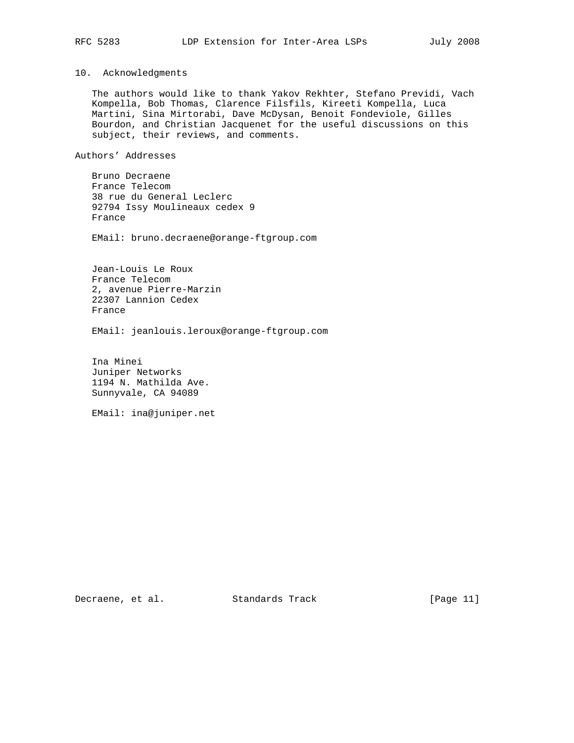# 10. Acknowledgments

 The authors would like to thank Yakov Rekhter, Stefano Previdi, Vach Kompella, Bob Thomas, Clarence Filsfils, Kireeti Kompella, Luca Martini, Sina Mirtorabi, Dave McDysan, Benoit Fondeviole, Gilles Bourdon, and Christian Jacquenet for the useful discussions on this subject, their reviews, and comments.

Authors' Addresses

 Bruno Decraene France Telecom 38 rue du General Leclerc 92794 Issy Moulineaux cedex 9 France

EMail: bruno.decraene@orange-ftgroup.com

 Jean-Louis Le Roux France Telecom 2, avenue Pierre-Marzin 22307 Lannion Cedex France

EMail: jeanlouis.leroux@orange-ftgroup.com

 Ina Minei Juniper Networks 1194 N. Mathilda Ave. Sunnyvale, CA 94089

EMail: ina@juniper.net

Decraene, et al. Standards Track [Page 11]